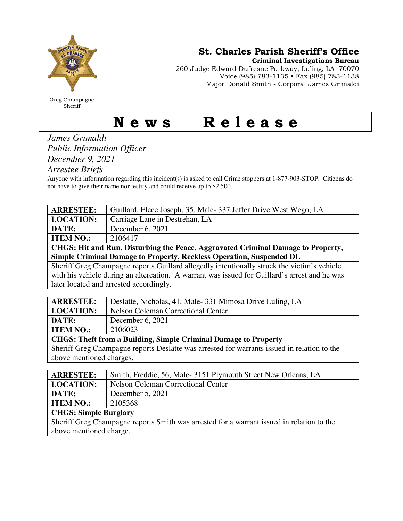

Greg Champagne Sheriff

St. Charles Parish Sheriff's Office

Criminal Investigations Bureau

260 Judge Edward Dufresne Parkway, Luling, LA 70070 Voice (985) 783-1135 • Fax (985) 783-1138 Major Donald Smith - Corporal James Grimaldi

## News Release

*James Grimaldi Public Information Officer December 9, 2021* 

*Arrestee Briefs* 

Anyone with information regarding this incident(s) is asked to call Crime stoppers at 1-877-903-STOP. Citizens do not have to give their name nor testify and could receive up to \$2,500.

| <b>ARRESTEE:</b>                                                                              | Guillard, Elcee Joseph, 35, Male-337 Jeffer Drive West Wego, LA |  |
|-----------------------------------------------------------------------------------------------|-----------------------------------------------------------------|--|
| <b>LOCATION:</b>                                                                              | Carriage Lane in Destrehan, LA                                  |  |
| DATE:                                                                                         | December 6, 2021                                                |  |
| <b>ITEM NO.:</b>                                                                              | 2106417                                                         |  |
| CHGS: Hit and Run, Disturbing the Peace, Aggravated Criminal Damage to Property,              |                                                                 |  |
| Simple Criminal Damage to Property, Reckless Operation, Suspended DL                          |                                                                 |  |
| Sheriff Greg Champagne reports Guillard allegedly intentionally struck the victim's vehicle   |                                                                 |  |
| with his vehicle during an altercation. A warrant was issued for Guillard's arrest and he was |                                                                 |  |
| later located and arrested accordingly.                                                       |                                                                 |  |
|                                                                                               |                                                                 |  |

| <b>ARRESTEE:</b>                                                       | Deslatte, Nicholas, 41, Male-331 Mimosa Drive Luling, LA |  |
|------------------------------------------------------------------------|----------------------------------------------------------|--|
| <b>LOCATION:</b>                                                       | <b>Nelson Coleman Correctional Center</b>                |  |
| <b>DATE:</b>                                                           | December 6, $2021$                                       |  |
| <b>ITEM NO.:</b>                                                       | 2106023                                                  |  |
| <b>CHGS: Theft from a Building, Simple Criminal Damage to Property</b> |                                                          |  |

Sheriff Greg Champagne reports Deslatte was arrested for warrants issued in relation to the above mentioned charges.

| <b>ARRESTEE:</b>                                                                          | Smith, Freddie, 56, Male- 3151 Plymouth Street New Orleans, LA |  |
|-------------------------------------------------------------------------------------------|----------------------------------------------------------------|--|
| <b>LOCATION:</b>                                                                          | <b>Nelson Coleman Correctional Center</b>                      |  |
| DATE:                                                                                     | December 5, 2021                                               |  |
| <b>ITEM NO.:</b>                                                                          | 2105368                                                        |  |
| <b>CHGS: Simple Burglary</b>                                                              |                                                                |  |
| Sheriff Greg Champagne reports Smith was arrested for a warrant issued in relation to the |                                                                |  |
| above mentioned charge.                                                                   |                                                                |  |